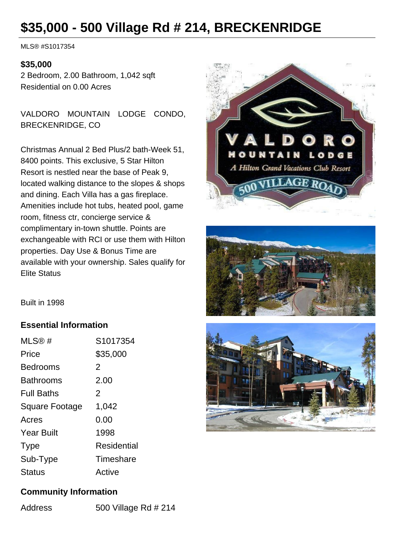## **\$35,000 - 500 Village Rd # 214, BRECKENRIDGE**

MLS® #S1017354

## **\$35,000**

2 Bedroom, 2.00 Bathroom, 1,042 sqft Residential on 0.00 Acres

VALDORO MOUNTAIN LODGE CONDO, BRECKENRIDGE, CO

Christmas Annual 2 Bed Plus/2 bath-Week 51, 8400 points. This exclusive, 5 Star Hilton Resort is nestled near the base of Peak 9, located walking distance to the slopes & shops and dining. Each Villa has a gas fireplace. Amenities include hot tubs, heated pool, game room, fitness ctr, concierge service & complimentary in-town shuttle. Points are exchangeable with RCI or use them with Hilton properties. Day Use & Bonus Time are available with your ownership. Sales qualify for Elite Status





Built in 1998

## **Essential Information**

| MLS@#                 | S1017354    |
|-----------------------|-------------|
| Price                 | \$35,000    |
| <b>Bedrooms</b>       | 2           |
| <b>Bathrooms</b>      | 2.00        |
| <b>Full Baths</b>     | 2           |
| <b>Square Footage</b> | 1,042       |
| Acres                 | 0.00        |
| <b>Year Built</b>     | 1998        |
| <b>Type</b>           | Residential |
| Sub-Type              | Timeshare   |
| Status                | Active      |



## **Community Information**

Address 500 Village Rd # 214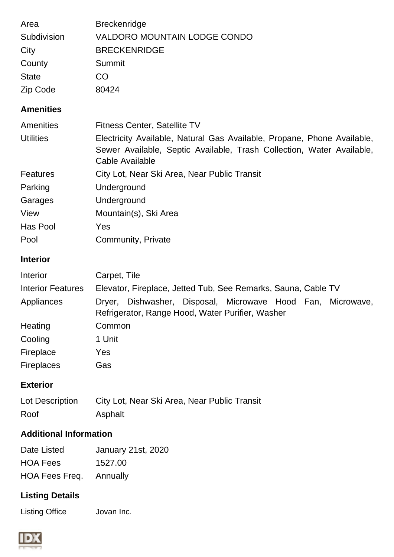| Area<br>Subdivision<br>City<br>County<br><b>State</b><br>Zip Code | <b>Breckenridge</b><br><b>VALDORO MOUNTAIN LODGE CONDO</b><br><b>BRECKENRIDGE</b><br>Summit<br><b>CO</b><br>80424                                                                                          |
|-------------------------------------------------------------------|------------------------------------------------------------------------------------------------------------------------------------------------------------------------------------------------------------|
| <b>Amenities</b>                                                  |                                                                                                                                                                                                            |
| Amenities<br><b>Utilities</b>                                     | <b>Fitness Center, Satellite TV</b><br>Electricity Available, Natural Gas Available, Propane, Phone Available,<br>Sewer Available, Septic Available, Trash Collection, Water Available,<br>Cable Available |
| <b>Features</b>                                                   | City Lot, Near Ski Area, Near Public Transit                                                                                                                                                               |
| Parking                                                           | Underground                                                                                                                                                                                                |
| Garages                                                           | Underground                                                                                                                                                                                                |
| View                                                              | Mountain(s), Ski Area                                                                                                                                                                                      |
| Has Pool                                                          | Yes                                                                                                                                                                                                        |
| Pool                                                              | Community, Private                                                                                                                                                                                         |
| <b>Interior</b>                                                   |                                                                                                                                                                                                            |
| Interior                                                          | Carpet, Tile                                                                                                                                                                                               |
| <b>Interior Features</b>                                          | Elevator, Fireplace, Jetted Tub, See Remarks, Sauna, Cable TV                                                                                                                                              |
| Appliances                                                        | Dishwasher, Disposal, Microwave Hood Fan, Microwave,<br>Dryer,<br>Refrigerator, Range Hood, Water Purifier, Washer                                                                                         |
| Heating                                                           | Common                                                                                                                                                                                                     |
| Cooling                                                           | 1 Unit                                                                                                                                                                                                     |
| Fireplace                                                         | Yes                                                                                                                                                                                                        |
| <b>Fireplaces</b>                                                 | Gas                                                                                                                                                                                                        |
| <b>Exterior</b>                                                   |                                                                                                                                                                                                            |
| Lot Description                                                   | City Lot, Near Ski Area, Near Public Transit                                                                                                                                                               |
| Roof                                                              | Asphalt                                                                                                                                                                                                    |
| <b>Additional Information</b>                                     |                                                                                                                                                                                                            |
| Date Listed                                                       | <b>January 21st, 2020</b>                                                                                                                                                                                  |
| <b>HOA Fees</b>                                                   | 1527.00                                                                                                                                                                                                    |
| HOA Fees Freq.                                                    | Annually                                                                                                                                                                                                   |
| <b>Listing Details</b>                                            |                                                                                                                                                                                                            |

Listing Office Jovan Inc.